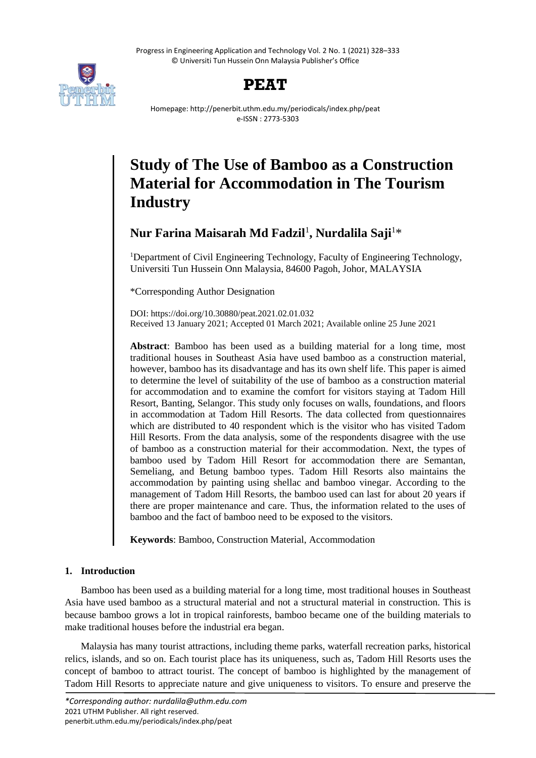Progress in Engineering Application and Technology Vol. 2 No. 1 (2021) 328–333 © Universiti Tun Hussein Onn Malaysia Publisher's Office



## **PEAT**

Homepage: http://penerbit.uthm.edu.my/periodicals/index.php/peat e-ISSN : 2773-5303

# **Study of The Use of Bamboo as a Construction Material for Accommodation in The Tourism Industry**

**Nur Farina Maisarah Md Fadzil**<sup>1</sup> **, Nurdalila Saji**<sup>1</sup>\*

<sup>1</sup>Department of Civil Engineering Technology, Faculty of Engineering Technology, Universiti Tun Hussein Onn Malaysia, 84600 Pagoh, Johor, MALAYSIA

\*Corresponding Author Designation

DOI: https://doi.org/10.30880/peat.2021.02.01.032 Received 13 January 2021; Accepted 01 March 2021; Available online 25 June 2021

**Abstract**: Bamboo has been used as a building material for a long time, most traditional houses in Southeast Asia have used bamboo as a construction material, however, bamboo has its disadvantage and has its own shelf life. This paper is aimed to determine the level of suitability of the use of bamboo as a construction material for accommodation and to examine the comfort for visitors staying at Tadom Hill Resort, Banting, Selangor. This study only focuses on walls, foundations, and floors in accommodation at Tadom Hill Resorts. The data collected from questionnaires which are distributed to 40 respondent which is the visitor who has visited Tadom Hill Resorts. From the data analysis, some of the respondents disagree with the use of bamboo as a construction material for their accommodation. Next, the types of bamboo used by Tadom Hill Resort for accommodation there are Semantan, Semeliang, and Betung bamboo types. Tadom Hill Resorts also maintains the accommodation by painting using shellac and bamboo vinegar. According to the management of Tadom Hill Resorts, the bamboo used can last for about 20 years if there are proper maintenance and care. Thus, the information related to the uses of bamboo and the fact of bamboo need to be exposed to the visitors.

**Keywords**: Bamboo, Construction Material, Accommodation

## **1. Introduction**

Bamboo has been used as a building material for a long time, most traditional houses in Southeast Asia have used bamboo as a structural material and not a structural material in construction. This is because bamboo grows a lot in tropical rainforests, bamboo became one of the building materials to make traditional houses before the industrial era began.

Malaysia has many tourist attractions, including theme parks, waterfall recreation parks, historical relics, islands, and so on. Each tourist place has its uniqueness, such as, Tadom Hill Resorts uses the concept of bamboo to attract tourist. The concept of bamboo is highlighted by the management of Tadom Hill Resorts to appreciate nature and give uniqueness to visitors. To ensure and preserve the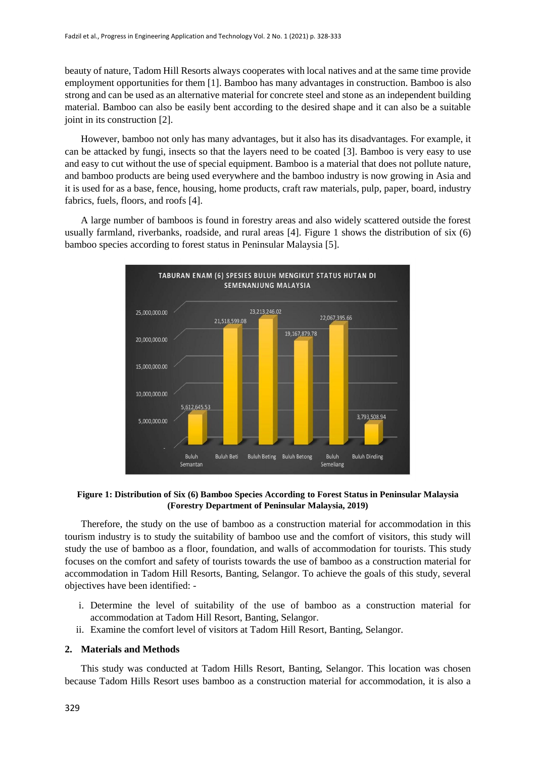beauty of nature, Tadom Hill Resorts always cooperates with local natives and at the same time provide employment opportunities for them [1]. Bamboo has many advantages in construction. Bamboo is also strong and can be used as an alternative material for concrete steel and stone as an independent building material. Bamboo can also be easily bent according to the desired shape and it can also be a suitable joint in its construction [2].

However, bamboo not only has many advantages, but it also has its disadvantages. For example, it can be attacked by fungi, insects so that the layers need to be coated [3]. Bamboo is very easy to use and easy to cut without the use of special equipment. Bamboo is a material that does not pollute nature, and bamboo products are being used everywhere and the bamboo industry is now growing in Asia and it is used for as a base, fence, housing, home products, craft raw materials, pulp, paper, board, industry fabrics, fuels, floors, and roofs [4].

A large number of bamboos is found in forestry areas and also widely scattered outside the forest usually farmland, riverbanks, roadside, and rural areas [4]. Figure 1 shows the distribution of six (6) bamboo species according to forest status in Peninsular Malaysia [5].



#### **Figure 1: Distribution of Six (6) Bamboo Species According to Forest Status in Peninsular Malaysia (Forestry Department of Peninsular Malaysia, 2019)**

Therefore, the study on the use of bamboo as a construction material for accommodation in this tourism industry is to study the suitability of bamboo use and the comfort of visitors, this study will study the use of bamboo as a floor, foundation, and walls of accommodation for tourists. This study focuses on the comfort and safety of tourists towards the use of bamboo as a construction material for accommodation in Tadom Hill Resorts, Banting, Selangor. To achieve the goals of this study, several objectives have been identified: -

- i. Determine the level of suitability of the use of bamboo as a construction material for accommodation at Tadom Hill Resort, Banting, Selangor.
- ii. Examine the comfort level of visitors at Tadom Hill Resort, Banting, Selangor.

### **2. Materials and Methods**

This study was conducted at Tadom Hills Resort, Banting, Selangor. This location was chosen because Tadom Hills Resort uses bamboo as a construction material for accommodation, it is also a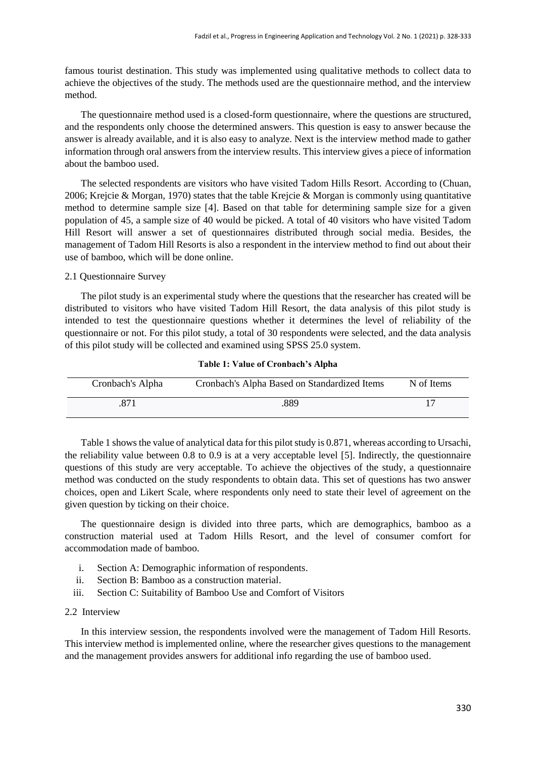famous tourist destination. This study was implemented using qualitative methods to collect data to achieve the objectives of the study. The methods used are the questionnaire method, and the interview method.

The questionnaire method used is a closed-form questionnaire, where the questions are structured, and the respondents only choose the determined answers. This question is easy to answer because the answer is already available, and it is also easy to analyze. Next is the interview method made to gather information through oral answers from the interview results. This interview gives a piece of information about the bamboo used.

The selected respondents are visitors who have visited Tadom Hills Resort. According to (Chuan, 2006; Krejcie & Morgan, 1970) states that the table Krejcie & Morgan is commonly using quantitative method to determine sample size [4]. Based on that table for determining sample size for a given population of 45, a sample size of 40 would be picked. A total of 40 visitors who have visited Tadom Hill Resort will answer a set of questionnaires distributed through social media. Besides, the management of Tadom Hill Resorts is also a respondent in the interview method to find out about their use of bamboo, which will be done online.

#### 2.1 Questionnaire Survey

The pilot study is an experimental study where the questions that the researcher has created will be distributed to visitors who have visited Tadom Hill Resort, the data analysis of this pilot study is intended to test the questionnaire questions whether it determines the level of reliability of the questionnaire or not. For this pilot study, a total of 30 respondents were selected, and the data analysis of this pilot study will be collected and examined using SPSS 25.0 system.

| Cronbach's Alpha | Cronbach's Alpha Based on Standardized Items | N of Items |
|------------------|----------------------------------------------|------------|
|                  | .889                                         |            |

#### **Table 1: Value of Cronbach's Alpha**

Table 1 shows the value of analytical data for this pilot study is 0.871, whereas according to Ursachi, the reliability value between 0.8 to 0.9 is at a very acceptable level [5]. Indirectly, the questionnaire questions of this study are very acceptable. To achieve the objectives of the study, a questionnaire method was conducted on the study respondents to obtain data. This set of questions has two answer choices, open and Likert Scale, where respondents only need to state their level of agreement on the given question by ticking on their choice.

The questionnaire design is divided into three parts, which are demographics, bamboo as a construction material used at Tadom Hills Resort, and the level of consumer comfort for accommodation made of bamboo.

- i. Section A: Demographic information of respondents.
- ii. Section B: Bamboo as a construction material.
- iii. Section C: Suitability of Bamboo Use and Comfort of Visitors

#### 2.2 Interview

In this interview session, the respondents involved were the management of Tadom Hill Resorts. This interview method is implemented online, where the researcher gives questions to the management and the management provides answers for additional info regarding the use of bamboo used.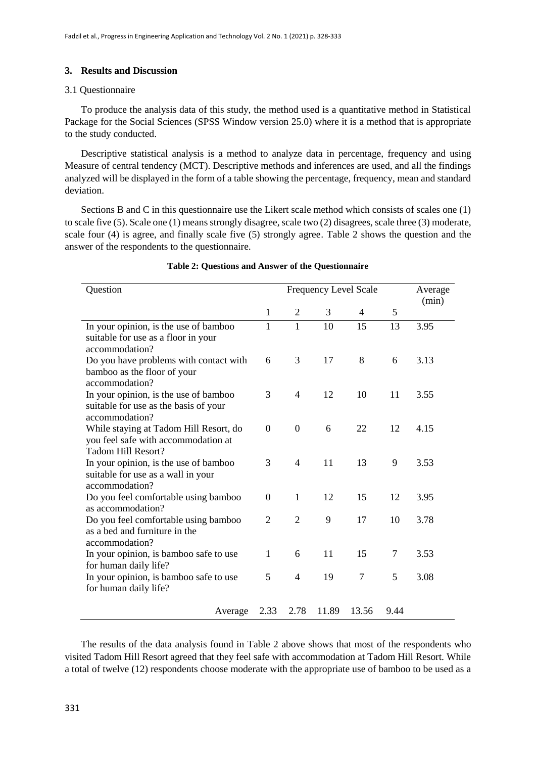#### **3. Results and Discussion**

#### 3.1 Questionnaire

To produce the analysis data of this study, the method used is a quantitative method in Statistical Package for the Social Sciences (SPSS Window version 25.0) where it is a method that is appropriate to the study conducted.

Descriptive statistical analysis is a method to analyze data in percentage, frequency and using Measure of central tendency (MCT). Descriptive methods and inferences are used, and all the findings analyzed will be displayed in the form of a table showing the percentage, frequency, mean and standard deviation.

Sections B and C in this questionnaire use the Likert scale method which consists of scales one (1) to scale five (5). Scale one (1) means strongly disagree, scale two (2) disagrees, scale three (3) moderate, scale four (4) is agree, and finally scale five (5) strongly agree. Table 2 shows the question and the answer of the respondents to the questionnaire.

| Question                                                              |                | Frequency Level Scale |       |        |                | Average<br>(min) |
|-----------------------------------------------------------------------|----------------|-----------------------|-------|--------|----------------|------------------|
|                                                                       | $\mathbf{1}$   | $\overline{2}$        | 3     | 4      | 5              |                  |
| In your opinion, is the use of bamboo                                 |                | $\mathbf{1}$          | 10    | 15     | 13             | 3.95             |
| suitable for use as a floor in your<br>accommodation?                 |                |                       |       |        |                |                  |
| Do you have problems with contact with                                |                | 3                     | 17    | 8      | 6              | 3.13             |
| bamboo as the floor of your<br>accommodation?                         |                |                       |       |        |                |                  |
| In your opinion, is the use of bamboo                                 |                | 4                     | 12    | 10     | 11             | 3.55             |
| suitable for use as the basis of your<br>accommodation?               |                |                       |       |        |                |                  |
| While staying at Tadom Hill Resort, do                                |                | $\overline{0}$        | 6     | 22     | 12             | 4.15             |
| you feel safe with accommodation at<br><b>Tadom Hill Resort?</b>      |                |                       |       |        |                |                  |
| In your opinion, is the use of bamboo                                 |                | 4                     | 11    | 13     | 9              | 3.53             |
| suitable for use as a wall in your                                    |                |                       |       |        |                |                  |
| accommodation?<br>Do you feel comfortable using bamboo                |                | $\mathbf{1}$          | 12    | 15     | 12             | 3.95             |
| as accommodation?                                                     |                |                       |       |        |                |                  |
| Do you feel comfortable using bamboo<br>as a bed and furniture in the | $\overline{2}$ | $\overline{2}$        | 9     | 17     | 10             | 3.78             |
| accommodation?                                                        |                |                       |       |        |                |                  |
| In your opinion, is bamboo safe to use                                | 1              | 6                     | 11    | 15     | $\overline{7}$ | 3.53             |
| for human daily life?                                                 |                |                       |       |        |                |                  |
| In your opinion, is bamboo safe to use<br>for human daily life?       | 5              | 4                     | 19    | $\tau$ | 5              | 3.08             |
| Average                                                               | 2.33           | 2.78                  | 11.89 | 13.56  | 9.44           |                  |

#### **Table 2: Questions and Answer of the Questionnaire**

The results of the data analysis found in Table 2 above shows that most of the respondents who visited Tadom Hill Resort agreed that they feel safe with accommodation at Tadom Hill Resort. While a total of twelve (12) respondents choose moderate with the appropriate use of bamboo to be used as a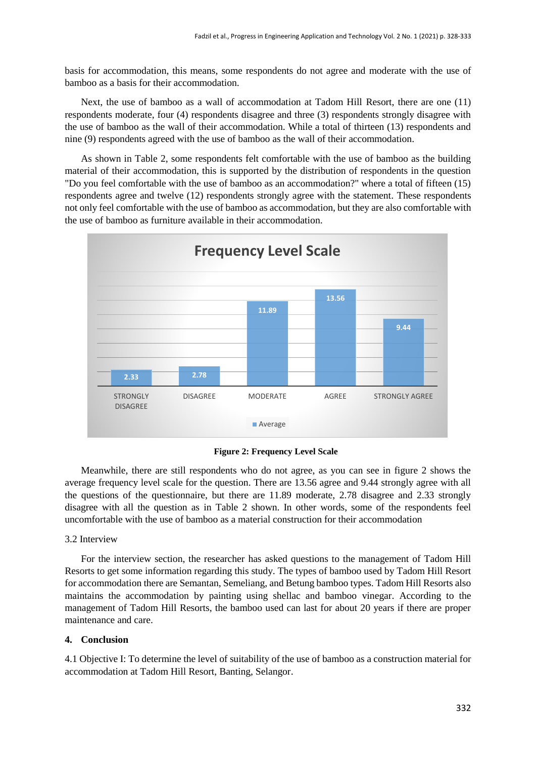basis for accommodation, this means, some respondents do not agree and moderate with the use of bamboo as a basis for their accommodation.

Next, the use of bamboo as a wall of accommodation at Tadom Hill Resort, there are one (11) respondents moderate, four (4) respondents disagree and three (3) respondents strongly disagree with the use of bamboo as the wall of their accommodation. While a total of thirteen (13) respondents and nine (9) respondents agreed with the use of bamboo as the wall of their accommodation.

As shown in Table 2, some respondents felt comfortable with the use of bamboo as the building material of their accommodation, this is supported by the distribution of respondents in the question "Do you feel comfortable with the use of bamboo as an accommodation?" where a total of fifteen (15) respondents agree and twelve (12) respondents strongly agree with the statement. These respondents not only feel comfortable with the use of bamboo as accommodation, but they are also comfortable with the use of bamboo as furniture available in their accommodation.



**Figure 2: Frequency Level Scale**

Meanwhile, there are still respondents who do not agree, as you can see in figure 2 shows the average frequency level scale for the question. There are 13.56 agree and 9.44 strongly agree with all the questions of the questionnaire, but there are 11.89 moderate, 2.78 disagree and 2.33 strongly disagree with all the question as in Table 2 shown. In other words, some of the respondents feel uncomfortable with the use of bamboo as a material construction for their accommodation

#### 3.2 Interview

For the interview section, the researcher has asked questions to the management of Tadom Hill Resorts to get some information regarding this study. The types of bamboo used by Tadom Hill Resort for accommodation there are Semantan, Semeliang, and Betung bamboo types. Tadom Hill Resorts also maintains the accommodation by painting using shellac and bamboo vinegar. According to the management of Tadom Hill Resorts, the bamboo used can last for about 20 years if there are proper maintenance and care.

#### **4. Conclusion**

4.1 Objective I: To determine the level of suitability of the use of bamboo as a construction material for accommodation at Tadom Hill Resort, Banting, Selangor.